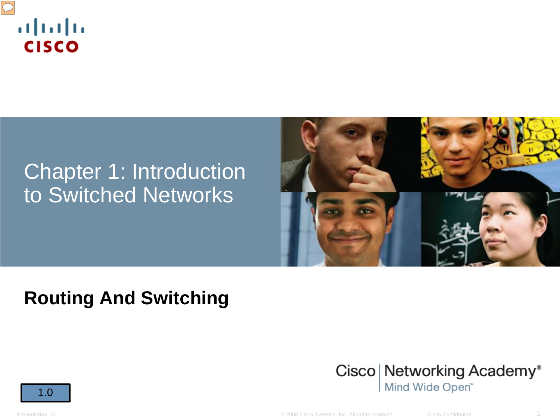

# Chapter 1: Introduction to Switched Networks



## **Routing And Switching**





Presentation\_ID **D** Cisco Confidential **Cisco Systems, Inc. All rights reserved.** Cisco Confidential 1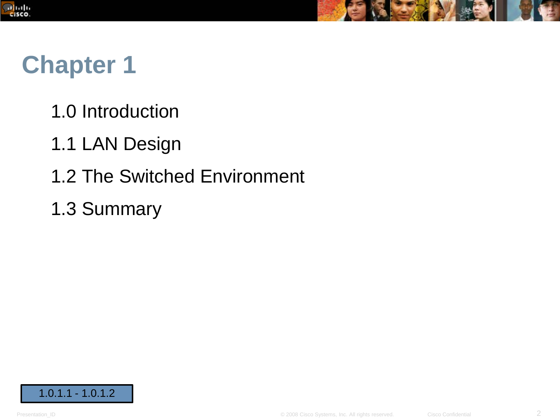



# **Chapter 1**

- 1.0 Introduction
- 1.1 LAN Design
- 1.2 The Switched Environment
- 1.3 Summary

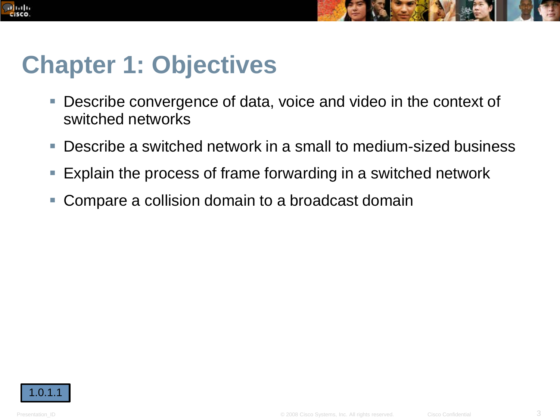



# **Chapter 1: Objectives**

- Describe convergence of data, voice and video in the context of switched networks
- Describe a switched network in a small to medium-sized business
- **Explain the process of frame forwarding in a switched network**
- Compare a collision domain to a broadcast domain

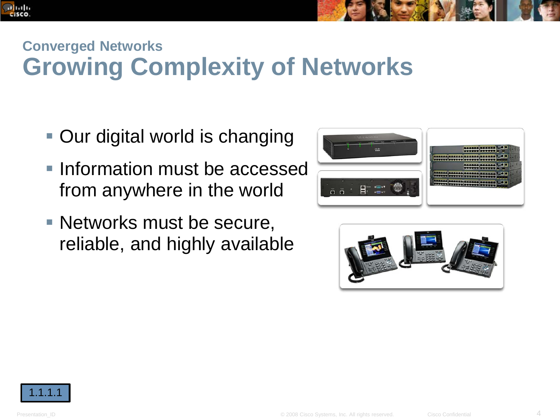



- Our digital world is changing
- **Information must be accessed** from anywhere in the world
- **Networks must be secure,** reliable, and highly available





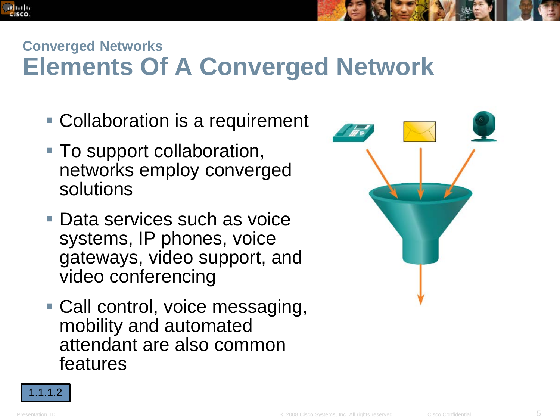

# **Converged Networks Elements Of A Converged Network**

- Collaboration is a requirement
- To support collaboration, networks employ converged solutions
- Data services such as voice systems, IP phones, voice gateways, video support, and video conferencing
- Call control, voice messaging, mobility and automated attendant are also common features



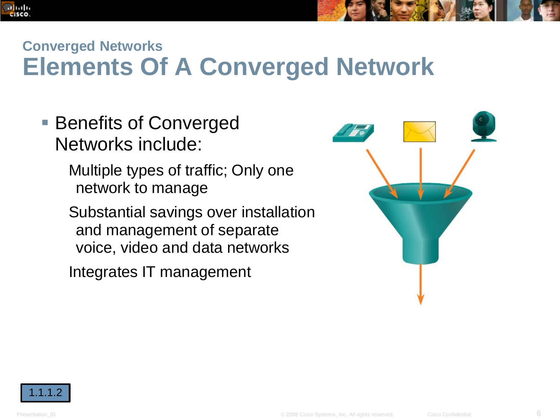

# **Converged Networks Elements Of A Converged Network**

- Benefits of Converged Networks include:
	- Multiple types of traffic; Only one network to manage
	- Substantial savings over installation and management of separate voice, video and data networks

Integrates IT management



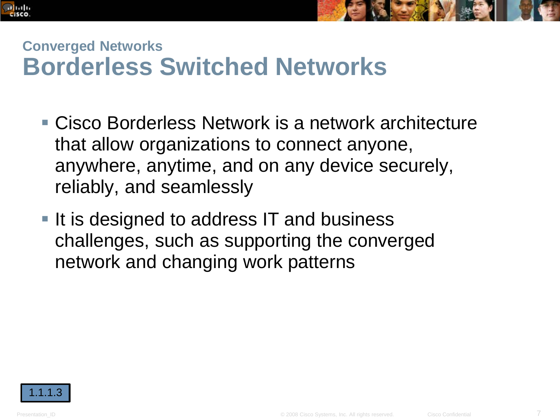



### **Converged Networks Borderless Switched Networks**

- Cisco Borderless Network is a network architecture that allow organizations to connect anyone, anywhere, anytime, and on any device securely, reliably, and seamlessly
- $\blacksquare$  It is designed to address IT and business challenges, such as supporting the converged network and changing work patterns

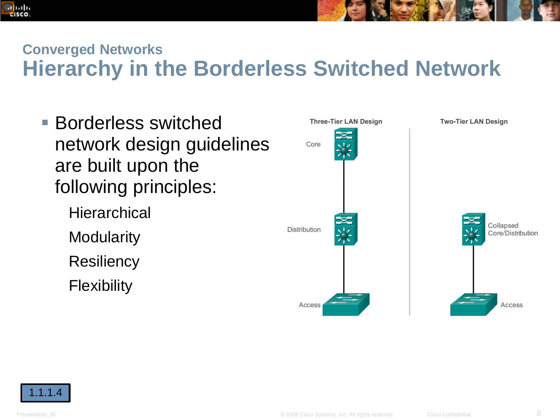



#### **Converged Networks**

# **Hierarchy in the Borderless Switched Network**

- Borderless switched network design guidelines are built upon the following principles:
	- **Hierarchical Modularity Resiliency Flexibility**



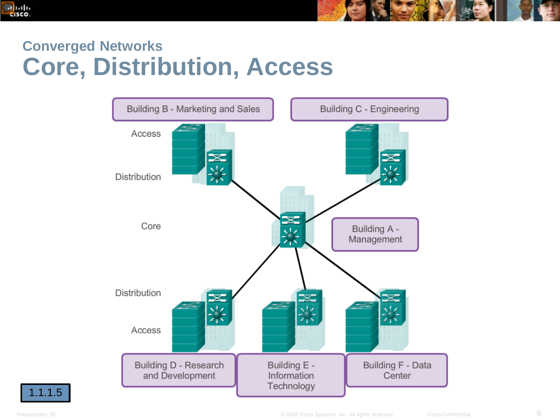



### **Converged Networks Core, Distribution, Access**



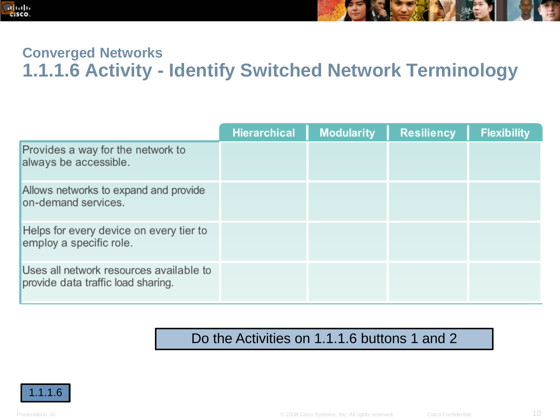



#### **Converged Networks 1.1.1.6 Activity - Identify Switched Network Terminology**

|                                                                               | <b>Hierarchical</b> | <b>Modularity</b> | <b>Resiliency</b> | <b>Flexibility</b> |
|-------------------------------------------------------------------------------|---------------------|-------------------|-------------------|--------------------|
| Provides a way for the network to<br>always be accessible.                    |                     |                   |                   |                    |
| Allows networks to expand and provide<br>on-demand services.                  |                     |                   |                   |                    |
| Helps for every device on every tier to<br>employ a specific role.            |                     |                   |                   |                    |
| Uses all network resources available to<br>provide data traffic load sharing. |                     |                   |                   |                    |

#### Do the Activities on 1.1.1.6 buttons 1 and 2

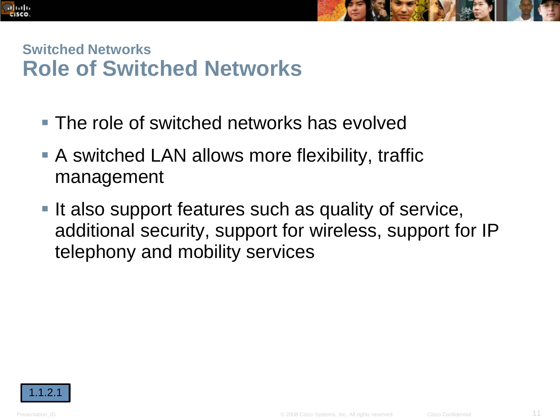



#### **Switched Networks Role of Switched Networks**

- The role of switched networks has evolved
- A switched LAN allows more flexibility, traffic management
- It also support features such as quality of service, additional security, support for wireless, support for IP telephony and mobility services

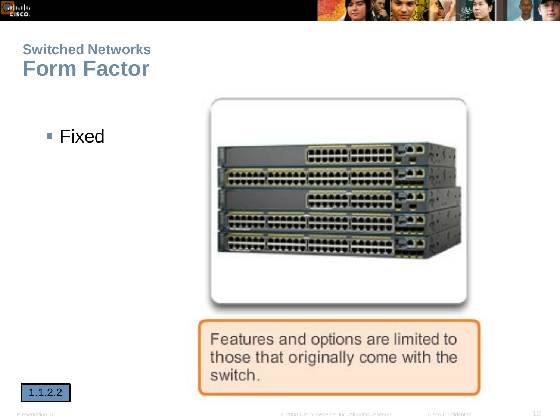

#### **Switched Networks Form Factor**

■ Fixed



Features and options are limited to those that originally come with the switch.

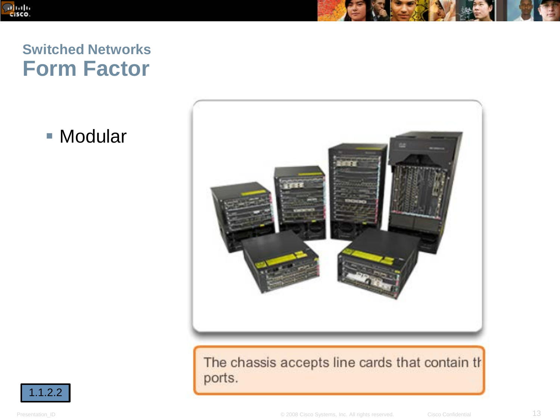

#### **Switched Networks Form Factor**

■ Modular



The chassis accepts line cards that contain the ports.

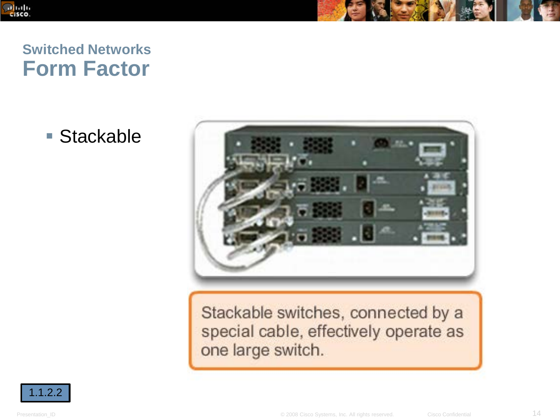

#### **Switched Networks Form Factor**

■ Stackable



Stackable switches, connected by a special cable, effectively operate as one large switch.

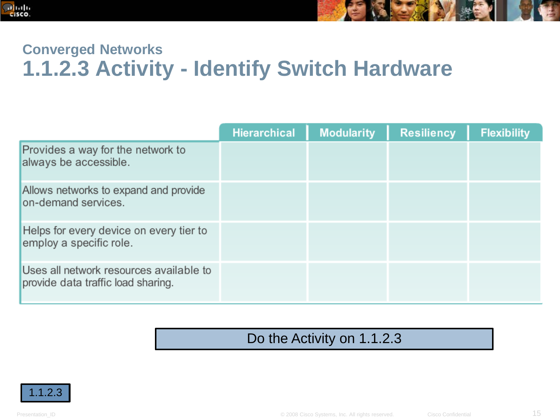



#### **Converged Networks 1.1.2.3 Activity - Identify Switch Hardware**

|                                                                               | <b>Hierarchical</b> | <b>Modularity</b> | <b>Resiliency</b> | <b>Flexibility</b> |
|-------------------------------------------------------------------------------|---------------------|-------------------|-------------------|--------------------|
| Provides a way for the network to<br>always be accessible.                    |                     |                   |                   |                    |
| Allows networks to expand and provide<br>on-demand services.                  |                     |                   |                   |                    |
| Helps for every device on every tier to<br>employ a specific role.            |                     |                   |                   |                    |
| Uses all network resources available to<br>provide data traffic load sharing. |                     |                   |                   |                    |

#### Do the Activity on 1.1.2.3

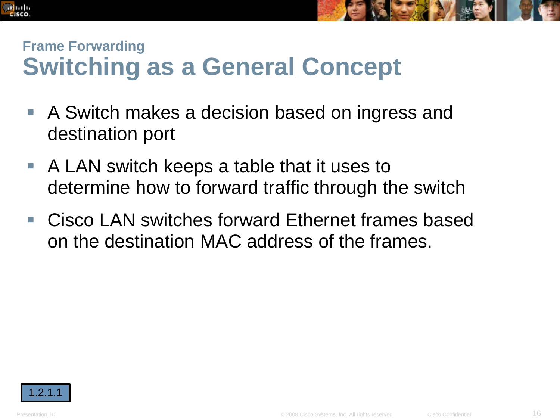



# **Frame Forwarding Switching as a General Concept**

- A Switch makes a decision based on ingress and destination port
- A LAN switch keeps a table that it uses to determine how to forward traffic through the switch
- Cisco LAN switches forward Ethernet frames based on the destination MAC address of the frames.

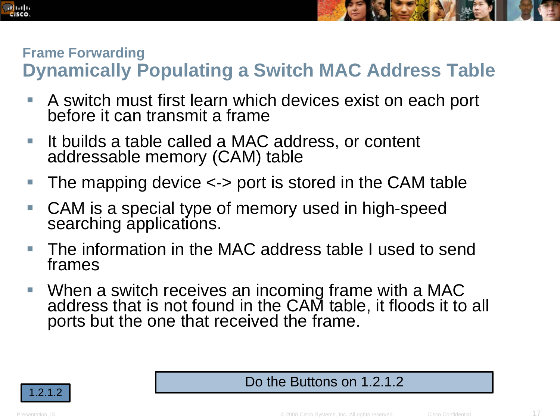



#### **Frame Forwarding Dynamically Populating a Switch MAC Address Table**

- A switch must first learn which devices exist on each port before it can transmit a frame
- It builds a table called a MAC address, or content addressable memory (CAM) table
- The mapping device <-> port is stored in the CAM table
- CAM is a special type of memory used in high-speed searching applications.
- The information in the MAC address table I used to send frames
- When a switch receives an incoming frame with a MAC address that is not found in the CAM table, it floods it to all ports but the one that received the frame.



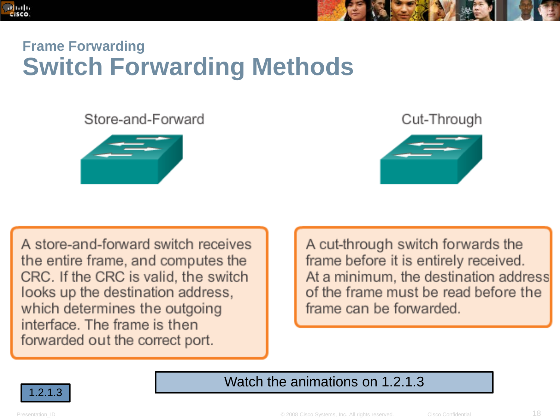



## **Frame Forwarding Switch Forwarding Methods**

#### Store-and-Forward



Cut-Through



A store-and-forward switch receives the entire frame, and computes the CRC. If the CRC is valid, the switch looks up the destination address, which determines the outgoing interface. The frame is then forwarded out the correct port.

A cut-through switch forwards the frame before it is entirely received. At a minimum, the destination address of the frame must be read before the frame can be forwarded.



Watch the animations on 1.2.1.3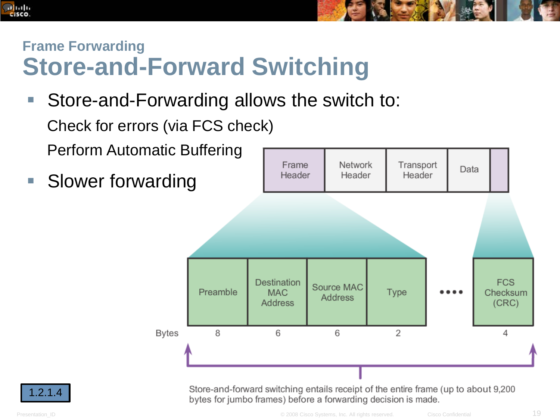



# **Frame Forwarding Store-and-Forward Switching**

 Store-and-Forwarding allows the switch to: Check for errors (via FCS check)

Perform Automatic Buffering

**Slower forwarding** 



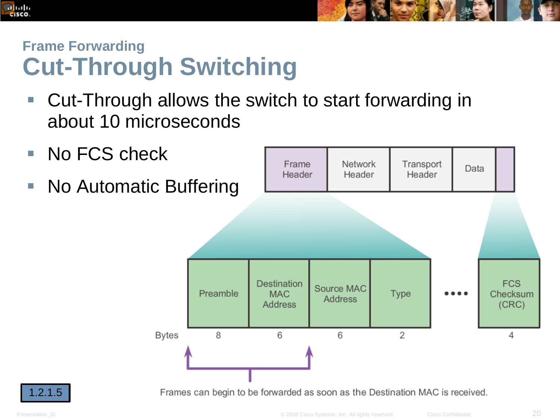



# **Frame Forwarding Cut-Through Switching**

- Cut-Through allows the switch to start forwarding in about 10 microseconds
- No FCS check
- **No Automatic Buffering**



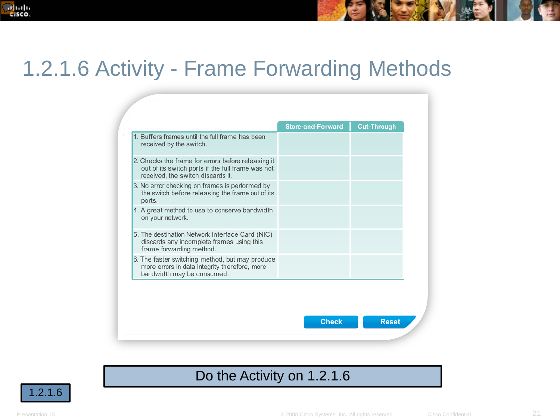

# 1.2.1.6 Activity - Frame Forwarding Methods

|                                                                                                                                              | <b>Store-and-Forward</b> | <b>Cut-Through</b> |
|----------------------------------------------------------------------------------------------------------------------------------------------|--------------------------|--------------------|
| 1. Buffers frames until the full frame has been<br>received by the switch.                                                                   |                          |                    |
| 2. Checks the frame for errors before releasing it<br>out of its switch ports if the full frame was not<br>received, the switch discards it. |                          |                    |
| 3. No error checking on frames is performed by<br>the switch before releasing the frame out of its<br>ports.                                 |                          |                    |
| 4. A great method to use to conserve bandwidth<br>on your network.                                                                           |                          |                    |
| 5. The destination Network Interface Card (NIC)<br>discards any incomplete frames using this<br>frame forwarding method.                     |                          |                    |
| 6. The faster switching method, but may produce<br>more errors in data integrity therefore, more<br>bandwidth may be consumed.               |                          |                    |

#### Do the Activity on 1.2.1.6

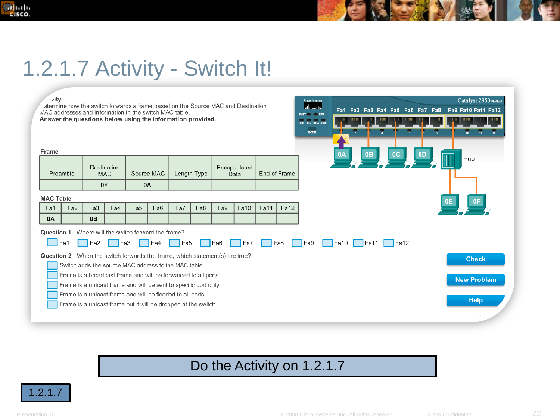

# 1.2.1.7 Activity - Switch It!

| ∡ity<br><b>CISCO SYSTEMS</b><br>alic alic<br>atermine how the switch forwards a frame based on the Source MAC and Destination<br>AAC addresses and information in the switch MAC table.<br>SYST RPS<br>Answer the questions below using the information provided.<br><b>STRE UTIL CUPUX SPEED</b><br><b>MODE</b> | Catalyst 2950 SERIES<br>Fa1 Fa2 Fa3 Fa4 Fa5 Fa6 Fa7 Fa8 Fa9 Fa10 Fa11 Fa12 |
|------------------------------------------------------------------------------------------------------------------------------------------------------------------------------------------------------------------------------------------------------------------------------------------------------------------|----------------------------------------------------------------------------|
| Frame                                                                                                                                                                                                                                                                                                            | 0 <sub>D</sub><br>0B<br>0 <sup>C</sup><br>0A<br><b>Hub</b>                 |
| Encapsulated<br>Destination<br>Source MAC<br>End of Frame<br>Preamble<br>Length Type<br><b>MAC</b><br>Data                                                                                                                                                                                                       |                                                                            |
| 0F<br><b>0A</b>                                                                                                                                                                                                                                                                                                  |                                                                            |
| <b>MAC Table</b>                                                                                                                                                                                                                                                                                                 |                                                                            |
| Fa10<br>Fa11<br>Fa <sub>2</sub><br>Fa4<br>Fa5<br>Fa7<br>Fa8<br>Fa9<br><b>Fa12</b><br>Fa <sub>3</sub><br>Fa <sub>6</sub><br>Fa1<br>0 <sub>B</sub><br><b>0A</b>                                                                                                                                                    |                                                                            |
| <b>Question 1 - Where will the switch forward the frame?</b><br><b>Fa1</b><br>Fe <sub>2</sub><br>Fa9<br>Fa3<br>Fe4<br>Fa6<br>Fa7<br>Fa8<br>Fa <sub>5</sub>                                                                                                                                                       | Faio Faii<br>Fig. 12                                                       |
| <b>Question 2</b> - When the switch forwards the frame, which statement(s) are true?                                                                                                                                                                                                                             | <b>Check</b>                                                               |
| Switch adds the source MAC address to the MAC table.                                                                                                                                                                                                                                                             |                                                                            |
| Frame is a broadcast frame and will be forwarded to all ports.                                                                                                                                                                                                                                                   | <b>New Problem</b>                                                         |
| Frame is a unicast frame and will be sent to specific port only.<br>Frame is a unicast frame and will be flooded to all ports.                                                                                                                                                                                   |                                                                            |
| Frame is a unicast frame but it will be dropped at the switch.                                                                                                                                                                                                                                                   | <b>Help</b>                                                                |

#### Do the Activity on 1.2.1.7

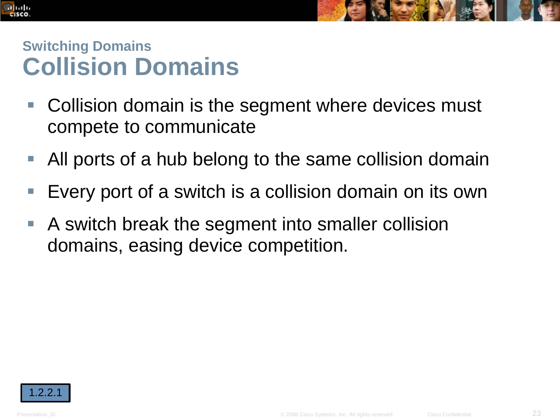



### **Switching Domains Collision Domains**

- Collision domain is the segment where devices must compete to communicate
- All ports of a hub belong to the same collision domain
- **Every port of a switch is a collision domain on its own**
- A switch break the segment into smaller collision domains, easing device competition.

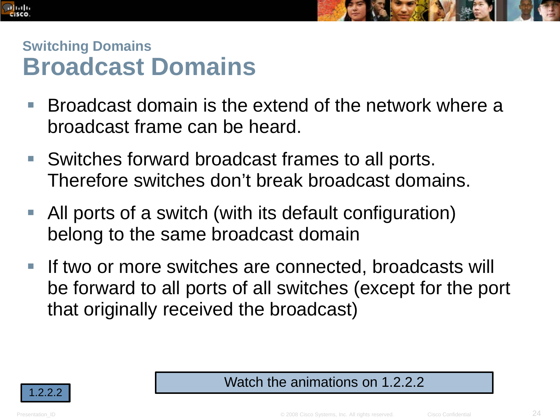



#### **Switching Domains Broadcast Domains**

- Broadcast domain is the extend of the network where a broadcast frame can be heard.
- Switches forward broadcast frames to all ports. Therefore switches don't break broadcast domains.
- All ports of a switch (with its default configuration) belong to the same broadcast domain
- If two or more switches are connected, broadcasts will be forward to all ports of all switches (except for the port that originally received the broadcast)

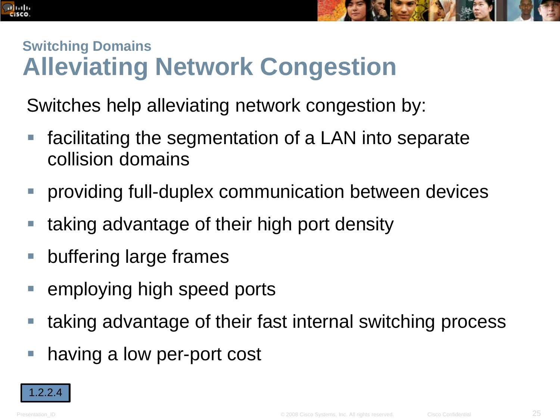



# **Switching Domains Alleviating Network Congestion**

Switches help alleviating network congestion by:

- facilitating the segmentation of a LAN into separate collision domains
- **Peroviding full-duplex communication between devices**
- **taking advantage of their high port density**
- **E** buffering large frames
- **E** employing high speed ports
- taking advantage of their fast internal switching process
- having a low per-port cost

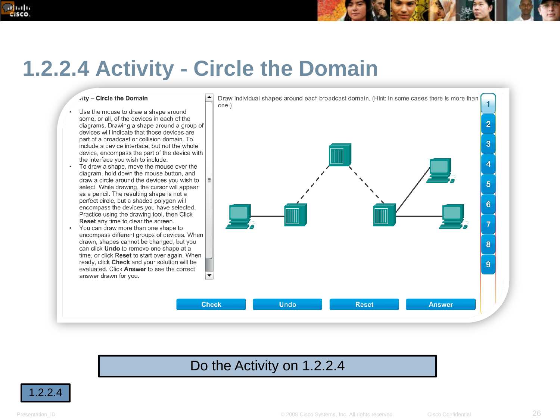#### **DOM:** cisco.



# **1.2.2.4 Activity - Circle the Domain**

vity - Circle the Domain

- Use the mouse to draw a shape around some, or all, of the devices in each of the diagrams. Drawing a shape around a group of devices will indicate that those devices are part of a broadcast or collision domain. To include a device interface, but not the whole device, encompass the part of the device with the interface you wish to include.
- $\bullet$ To draw a shape, move the mouse over the diagram, hold down the mouse button, and draw a circle around the devices you wish to select. While drawing, the cursor will appear as a pencil. The resulting shape is not a perfect circle, but a shaded polygon will encompass the devices you have selected. Practice using the drawing tool, then Click Reset any time to clear the screen.
- You can draw more than one shape to  $\bullet$ encompass different groups of devices. When drawn, shapes cannot be changed, but you can click Undo to remove one shape at a time, or click Reset to start over again. When ready, click Check and your solution will be evaluated. Click Answer to see the correct answer drawn for you.



#### Do the Activity on 1.2.2.4

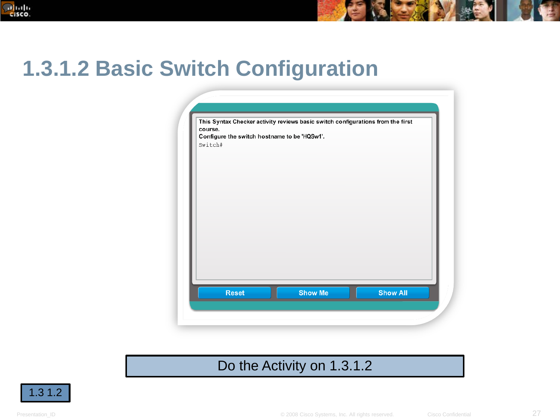



#### Do the Activity on 1.3.1.2

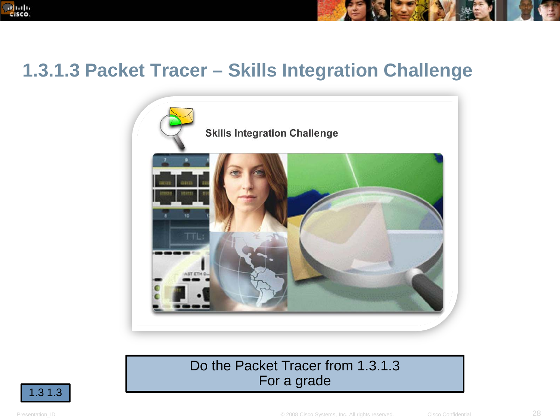



### **1.3.1.3 Packet Tracer – Skills Integration Challenge**



#### Do the Packet Tracer from 1.3.1.3 For a grade

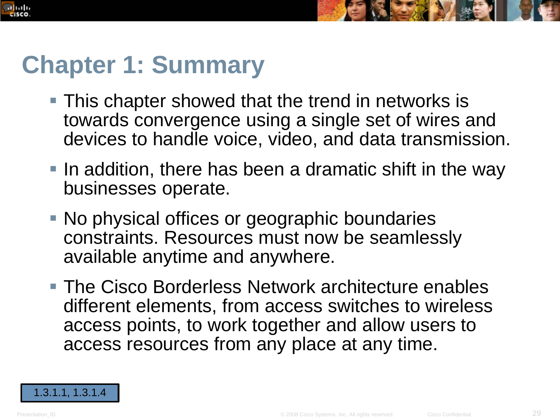



# **Chapter 1: Summary**

- **This chapter showed that the trend in networks is** towards convergence using a single set of wires and devices to handle voice, video, and data transmission.
- **IF In addition, there has been a dramatic shift in the way** businesses operate.
- No physical offices or geographic boundaries constraints. Resources must now be seamlessly available anytime and anywhere.
- **The Cisco Borderless Network architecture enables** different elements, from access switches to wireless access points, to work together and allow users to access resources from any place at any time.

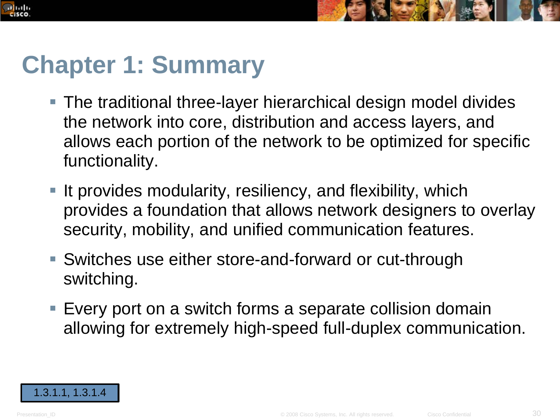



# **Chapter 1: Summary**

- The traditional three-layer hierarchical design model divides the network into core, distribution and access layers, and allows each portion of the network to be optimized for specific functionality.
- **If provides modularity, resiliency, and flexibility, which** provides a foundation that allows network designers to overlay security, mobility, and unified communication features.
- Switches use either store-and-forward or cut-through switching.
- **Every port on a switch forms a separate collision domain** allowing for extremely high-speed full-duplex communication.

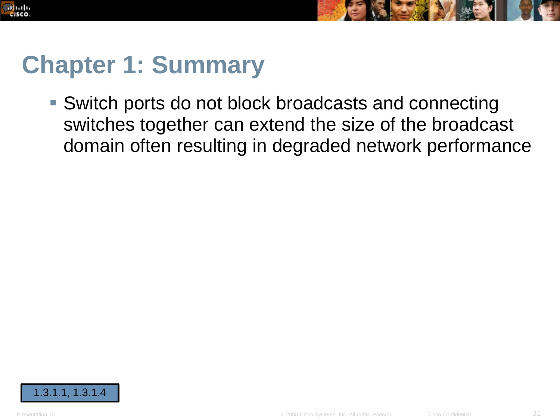



# **Chapter 1: Summary**

 Switch ports do not block broadcasts and connecting switches together can extend the size of the broadcast domain often resulting in degraded network performance